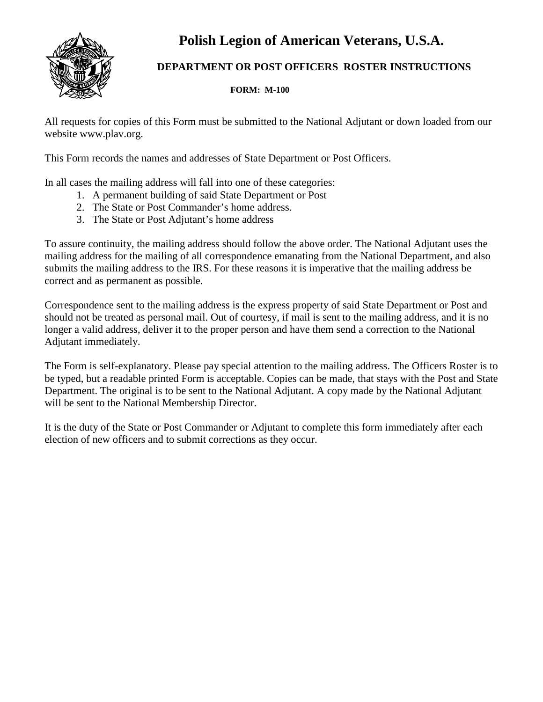**Polish Legion of American Veterans, U.S.A.**



## **DEPARTMENT OR POST OFFICERS ROSTER INSTRUCTIONS**

 **FORM: M-100**

All requests for copies of this Form must be submitted to the National Adjutant or down loaded from our website www.plav.org.

This Form records the names and addresses of State Department or Post Officers.

In all cases the mailing address will fall into one of these categories:

- 1. A permanent building of said State Department or Post
- 2. The State or Post Commander's home address.
- 3. The State or Post Adjutant's home address

To assure continuity, the mailing address should follow the above order. The National Adjutant uses the mailing address for the mailing of all correspondence emanating from the National Department, and also submits the mailing address to the IRS. For these reasons it is imperative that the mailing address be correct and as permanent as possible.

Correspondence sent to the mailing address is the express property of said State Department or Post and should not be treated as personal mail. Out of courtesy, if mail is sent to the mailing address, and it is no longer a valid address, deliver it to the proper person and have them send a correction to the National Adjutant immediately.

The Form is self-explanatory. Please pay special attention to the mailing address. The Officers Roster is to be typed, but a readable printed Form is acceptable. Copies can be made, that stays with the Post and State Department. The original is to be sent to the National Adjutant. A copy made by the National Adjutant will be sent to the National Membership Director.

It is the duty of the State or Post Commander or Adjutant to complete this form immediately after each election of new officers and to submit corrections as they occur.